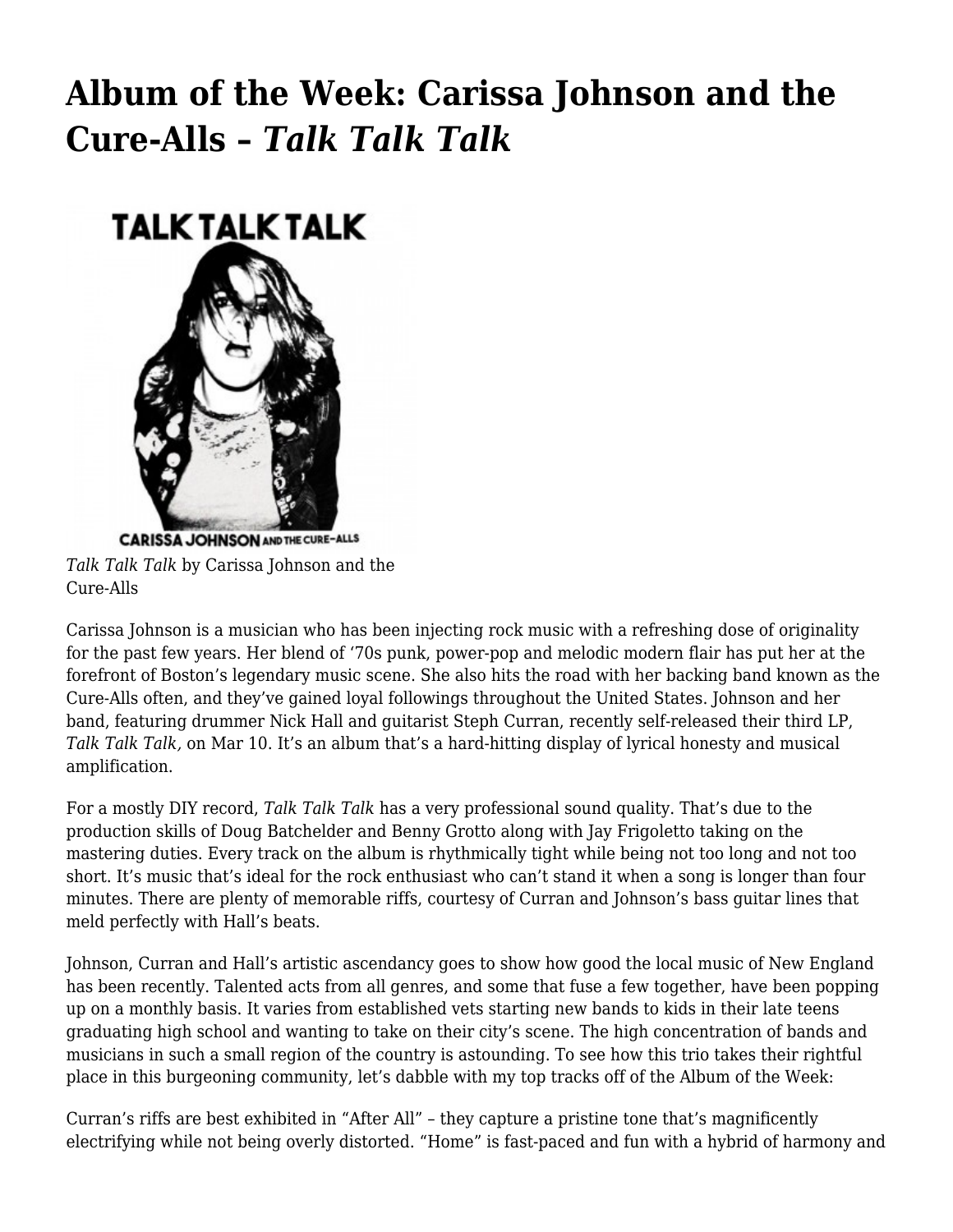## **[Album of the Week: Carissa Johnson and the](https://motifri.com/aotw-2018-mar14/) [Cure-Alls –](https://motifri.com/aotw-2018-mar14/)** *[Talk Talk Talk](https://motifri.com/aotw-2018-mar14/)*



**CARISSA JOHNSON AND THE CURE-ALLS** *Talk Talk Talk* by Carissa Johnson and the Cure-Alls

Carissa Johnson is a musician who has been injecting rock music with a refreshing dose of originality for the past few years. Her blend of '70s punk, power-pop and melodic modern flair has put her at the forefront of Boston's legendary music scene. She also hits the road with her backing band known as the Cure-Alls often, and they've gained loyal followings throughout the United States. Johnson and her band, featuring drummer Nick Hall and guitarist Steph Curran, recently self-released their third LP, *Talk Talk Talk,* on Mar 10. It's an album that's a hard-hitting display of lyrical honesty and musical amplification.

For a mostly DIY record, *Talk Talk Talk* has a very professional sound quality. That's due to the production skills of Doug Batchelder and Benny Grotto along with Jay Frigoletto taking on the mastering duties. Every track on the album is rhythmically tight while being not too long and not too short. It's music that's ideal for the rock enthusiast who can't stand it when a song is longer than four minutes. There are plenty of memorable riffs, courtesy of Curran and Johnson's bass guitar lines that meld perfectly with Hall's beats.

Johnson, Curran and Hall's artistic ascendancy goes to show how good the local music of New England has been recently. Talented acts from all genres, and some that fuse a few together, have been popping up on a monthly basis. It varies from established vets starting new bands to kids in their late teens graduating high school and wanting to take on their city's scene. The high concentration of bands and musicians in such a small region of the country is astounding. To see how this trio takes their rightful place in this burgeoning community, let's dabble with my top tracks off of the Album of the Week:

Curran's riffs are best exhibited in "After All" – they capture a pristine tone that's magnificently electrifying while not being overly distorted. "Home" is fast-paced and fun with a hybrid of harmony and